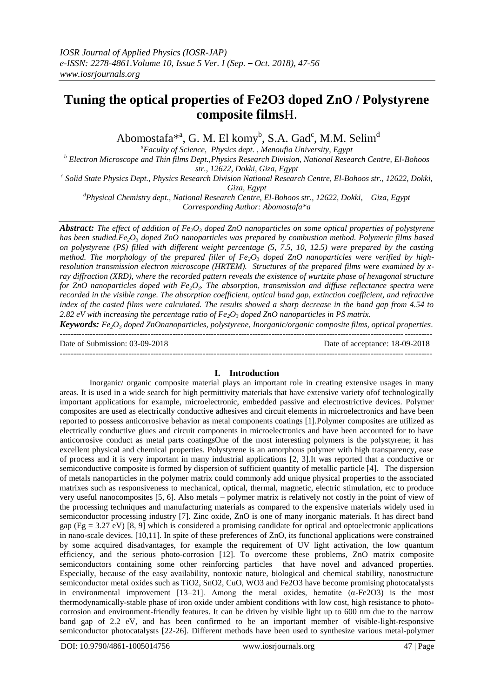# **Tuning the optical properties of Fe2O3 doped ZnO / Polystyrene composite films**H.

Abomostafa $^{*^a}$ , G. M. El komy<sup>b</sup>, S.A. Gad<sup>c</sup>, M.M. Selim<sup>d</sup>

*<sup>a</sup>Faculty of Science, Physics dept. , Menoufia University, Egypt*

*<sup>b</sup> Electron Microscope and Thin films Dept.,Physics Research Division, National Research Centre, El-Bohoos str., 12622, Dokki, Giza, Egypt*

*c Solid State Physics Dept., Physics Research Division National Research Centre, El-Bohoos str., 12622, Dokki, Giza, Egypt*

*<sup>d</sup>Physical Chemistry dept., National Research Centre, El-Bohoos str., 12622, Dokki, Giza, Egypt Corresponding Author: Abomostafa\*a*

*Abstract: The effect of addition of Fe2O<sup>3</sup> doped ZnO nanoparticles on some optical properties of polystyrene has been studied.Fe2O<sup>3</sup> doped ZnO nanoparticles was prepared by combustion method. Polymeric films based on polystyrene (PS) filled with different weight percentage (5, 7.5, 10, 12.5) were prepared by the casting method. The morphology of the prepared filler of Fe2O<sup>3</sup> doped ZnO nanoparticles were verified by highresolution transmission electron microscope (HRTEM). Structures of the prepared films were examined by xray diffraction (XRD), where the recorded pattern reveals the existence of wurtzite phase of hexagonal structure for ZnO nanoparticles doped with Fe2O3. The absorption, transmission and diffuse reflectance spectra were recorded in the visible range. The absorption coefficient, optical band gap, extinction coefficient, and refractive index of the casted films were calculated. The results showed a sharp decrease in the band gap from 4.54 to 2.82 eV with increasing the percentage ratio of Fe2O<sup>3</sup> doped ZnO nanoparticles in PS matrix.*

*Keywords: Fe2O<sup>3</sup> doped ZnOnanoparticles, polystyrene, Inorganic/organic composite films, optical properties*.  $-1-\frac{1}{2}$ 

Date of Submission: 03-09-2018 Date of acceptance: 18-09-2018 ---------------------------------------------------------------------------------------------------------------------------------------

# **I. Introduction**

Inorganic/ organic composite material plays an important role in creating extensive usages in many areas. It is used in a wide search for high permittivity materials that have extensive variety ofof technologically important applications for example, microelectronic, embedded passive and electrostrictive devices. Polymer composites are used as electrically conductive adhesives and circuit elements in microelectronics and have been reported to possess anticorrosive behavior as metal components coatings [1].Polymer composites are utilized as electrically conductive glues and circuit components in microelectronics and have been accounted for to have anticorrosive conduct as metal parts coatingsOne of the most interesting polymers is the polystyrene; it has excellent physical and chemical properties. Polystyrene is an amorphous polymer with high transparency, ease of process and it is very important in many industrial applications [2, 3].It was reported that a conductive or semiconductive composite is formed by dispersion of sufficient quantity of metallic particle [4]. The dispersion of metals nanoparticles in the polymer matrix could commonly add unique physical properties to the associated matrixes such as responsiveness to mechanical, optical, thermal, magnetic, electric stimulation, etc to produce very useful nanocomposites [5, 6]. Also metals – polymer matrix is relatively not costly in the point of view of the processing techniques and manufacturing materials as compared to the expensive materials widely used in semiconductor processing industry [7]. Zinc oxide, ZnO is one of many inorganic materials. It has direct band gap ( $Eg = 3.27$  eV) [8, 9] which is considered a promising candidate for optical and optoelectronic applications in nano-scale devices. [10,11]. In spite of these preferences of ZnO, its functional applications were constrained by some acquired disadvantages, for example the requirement of UV light activation, the low quantum efficiency, and the serious photo-corrosion [12]. To overcome these problems, ZnO matrix composite semiconductors containing some other reinforcing particles that have novel and advanced properties. Especially, because of the easy availability, nontoxic nature, biological and chemical stability, nanostructure semiconductor metal oxides such as TiO2, SnO2, CuO, WO3 and Fe2O3 have become promising photocatalysts in environmental improvement  $[13-21]$ . Among the metal oxides, hematite  $(\alpha$ -Fe2O3) is the most thermodynamically-stable phase of iron oxide under ambient conditions with low cost, high resistance to photocorrosion and environment-friendly features. It can be driven by visible light up to 600 nm due to the narrow band gap of 2.2 eV, and has been confirmed to be an important member of visible-light-responsive semiconductor photocatalysts [22-26]. Different methods have been used to synthesize various metal-polymer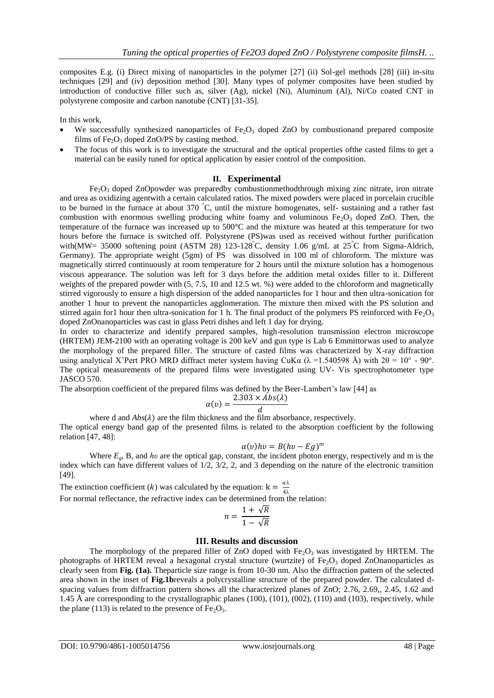composites E.g. (i) Direct mixing of nanoparticles in the polymer [27] (ii) Sol-gel methods [28] (iii) in-situ techniques [29] and (iv) deposition method [30]. Many types of polymer composites have been studied by introduction of conductive filler such as, silver (Ag), nickel (Ni), Aluminum (Al), Ni/Co coated CNT in polystyrene composite and carbon nanotube (CNT) [31-35].

In this work,

- We successfully synthesized nanoparticles of  $Fe<sub>2</sub>O<sub>3</sub>$  doped ZnO by combustionand prepared composite films of  $Fe<sub>2</sub>O<sub>3</sub>$  doped ZnO/PS by casting method.
- The focus of this work is to investigate the structural and the optical properties ofthe casted films to get a material can be easily tuned for optical application by easier control of the composition.

# **II. Experimental**

 $Fe<sub>2</sub>O<sub>3</sub>$  doped ZnOpowder was preparedby combustionmethodthrough mixing zinc nitrate, iron nitrate and urea as oxidizing agentwith a certain calculated ratios. The mixed powders were placed in porcelain crucible to be burned in the furnace at about 370 °C, until the mixture homogenates, self- sustaining and a rather fast combustion with enormous swelling producing white foamy and voluminous  $Fe<sub>2</sub>O<sub>3</sub>$  doped ZnO. Then, the temperature of the furnace was increased up to 500°C and the mixture was heated at this temperature for two hours before the furnace is switched off. Polystyrene (PS)was used as received without further purification with(MW= 35000 softening point (ASTM 28) 123-128°C, density 1.06 g/mL at  $25^{\circ}$ C from Sigma-Aldrich, Germany). The appropriate weight (5gm) of PS was dissolved in 100 ml of chloroform. The mixture was magnetically stirred continuously at room temperature for 2 hours until the mixture solution has a homogenous viscous appearance. The solution was left for 3 days before the addition metal oxides filler to it. Different weights of the prepared powder with (5, 7.5, 10 and 12.5 wt. %) were added to the chloroform and magnetically stirred vigorously to ensure a high dispersion of the added nanoparticles for 1 hour and then ultra-sonication for another 1 hour to prevent the nanoparticles agglomeration. The mixture then mixed with the PS solution and stirred again for1 hour then ultra-sonication for 1 h. The final product of the polymers PS reinforced with  $Fe<sub>2</sub>O<sub>3</sub>$ doped ZnOnanoparticles was cast in glass Petri dishes and left 1 day for drying.

In order to characterize and identify prepared samples, high-resolution transmission electron microscope (HRTEM) JEM-2100 with an operating voltage is 200 keV and gun type is Lab 6 Emmittorwas used to analyze the morphology of the prepared filler. The structure of casted films was characterized by X-ray diffraction using analytical X'Pert PRO MRD diffract meter system having CuKa ( $\lambda = 1.540598$  Å) with  $2\theta = 10^{\circ}$  - 90°. The optical measurements of the prepared films were investigated using UV- Vis spectrophotometer type JASCO 570.

The absorption coefficient of the prepared films was defined by the Beer-Lambert's law [44] as

$$
\alpha(v) = \frac{2.303 \times Abs(\lambda)}{d}
$$

where d and  $Abs(\lambda)$  are the film thickness and the film absorbance, respectively. The optical energy band gap of the presented films is related to the absorption coefficient by the following relation [47, 48]:

$$
\alpha(v)hv = B(hv - Eg)^m
$$

Where *Eg*, B, and *hυ* are the optical gap, constant, the incident photon energy, respectively and m is the index which can have different values of 1/2, 3/2, 2, and 3 depending on the nature of the electronic transition [49].

The extinction coefficient (k) was calculated by the equation:  $k = \frac{a\lambda}{4\pi}$ 4λ For normal reflectance, the refractive index can be determined from the relation:

$$
n = \frac{1 + \sqrt{R}}{1 - \sqrt{R}}
$$

#### **III. Results and discussion**

The morphology of the prepared filler of  $ZnO$  doped with  $Fe<sub>2</sub>O<sub>3</sub>$  was investigated by HRTEM. The photographs of HRTEM reveal a hexagonal crystal structure (wurtzite) of  $Fe<sub>2</sub>O<sub>3</sub>$  doped ZnOnanoparticles as clearly seen from **Fig. (1a).** Theparticle size range is from 10-30 nm. Also the diffraction pattern of the selected area shown in the inset of **Fig.1b**reveals a polycrystalline structure of the prepared powder. The calculated dspacing values from diffraction pattern shows all the characterized planes of ZnO; 2.76, 2.69,, 2.45, 1.62 and 1.45 Å are corresponding to the crystallographic planes (100), (101), (002), (110) and (103), respectively, while the plane (113) is related to the presence of  $Fe<sub>2</sub>O<sub>3</sub>$ .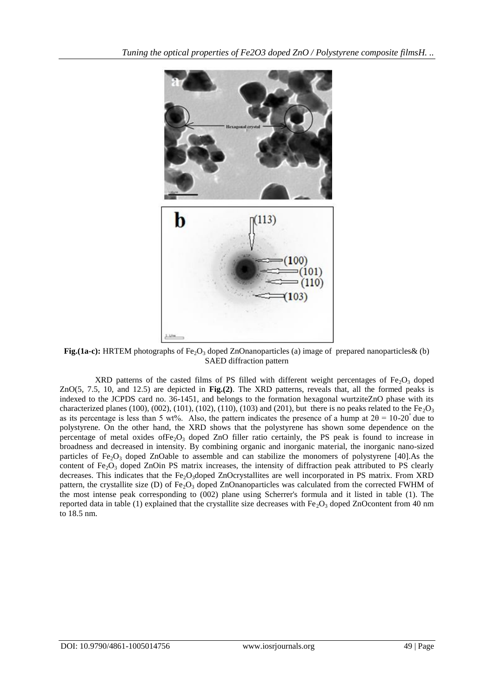

**Fig.(1a-c):** HRTEM photographs of  $Fe<sub>2</sub>O<sub>3</sub>$  doped ZnOnanoparticles (a) image of prepared nanoparticles  $\&$  (b) SAED diffraction pattern

XRD patterns of the casted films of PS filled with different weight percentages of  $Fe<sub>2</sub>O<sub>3</sub>$  doped ZnO(5, 7.5, 10, and 12.5) are depicted in **Fig.(2)**. The XRD patterns, reveals that, all the formed peaks is indexed to the JCPDS card no. 36-1451, and belongs to the formation hexagonal wurtziteZnO phase with its characterized planes (100), (002), (101), (102), (110), (103) and (201), but there is no peaks related to the Fe<sub>2</sub>O<sub>3</sub> as its percentage is less than 5 wt%. Also, the pattern indicates the presence of a hump at  $2\theta = 10{\text -}20^{\degree}$  due to polystyrene. On the other hand, the XRD shows that the polystyrene has shown some dependence on the percentage of metal oxides of  $Fe<sub>2</sub>O<sub>3</sub>$  doped ZnO filler ratio certainly, the PS peak is found to increase in broadness and decreased in intensity. By combining organic and inorganic material, the inorganic nano-sized particles of Fe<sub>2</sub>O<sub>3</sub> doped ZnOable to assemble and can stabilize the monomers of polystyrene [40].As the content of  $Fe<sub>2</sub>O<sub>3</sub>$  doped ZnOin PS matrix increases, the intensity of diffraction peak attributed to PS clearly decreases. This indicates that the  $Fe<sub>2</sub>O<sub>3</sub>$ doped ZnOcrystallites are well incorporated in PS matrix. From XRD pattern, the crystallite size (D) of  $Fe<sub>2</sub>O<sub>3</sub>$  doped ZnOnanoparticles was calculated from the corrected FWHM of the most intense peak corresponding to (002) plane using Scherrer's formula and it listed in table (1). The reported data in table (1) explained that the crystallite size decreases with  $Fe<sub>2</sub>O<sub>3</sub>$  doped ZnOcontent from 40 nm to 18.5 nm.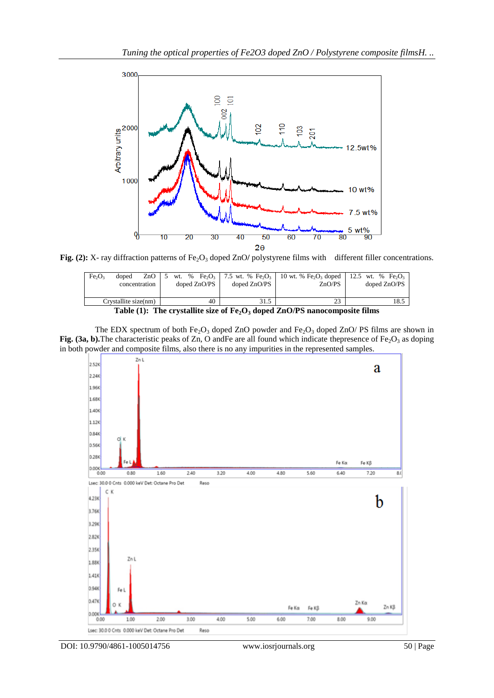

Fig. (2): X- ray diffraction patterns of Fe<sub>2</sub>O<sub>3</sub> doped ZnO/ polystyrene films with different filler concentrations.

| Fe <sub>2</sub> O <sub>3</sub>                                                                                | doped<br>concentration | ZnO |  |  |  | doped $ZnO/PS$ | doped $ZnO/PS$ |      | wt. % Fe, $O_3$   7.5 wt. % Fe, $O_3$   10 wt. % Fe, $O_3$ doped   12.5 wt. % Fe, $O_3$ | ZnO/PS |  | doped ZnO/PS |
|---------------------------------------------------------------------------------------------------------------|------------------------|-----|--|--|--|----------------|----------------|------|-----------------------------------------------------------------------------------------|--------|--|--------------|
| Crystallite size(nm)                                                                                          |                        |     |  |  |  | 40             |                | 31.5 |                                                                                         | 23     |  | 18.5         |
| $T_2L_2(1)$ . The current lite sine of $\Gamma_2$ $\Omega$ aloned $T_2\Omega/\Omega$ noncepture of the films. |                        |     |  |  |  |                |                |      |                                                                                         |        |  |              |

The EDX spectrum of both  $Fe<sub>2</sub>O<sub>3</sub>$  doped ZnO powder and  $Fe<sub>2</sub>O<sub>3</sub>$  doped ZnO/ PS films are shown in **Fig. (3a, b).**The characteristic peaks of Zn, O andFe are all found which indicate the presence of  $Fe<sub>2</sub>O<sub>3</sub>$  as doping in both powder and composite films, also there is no any impurities in the represented samples.

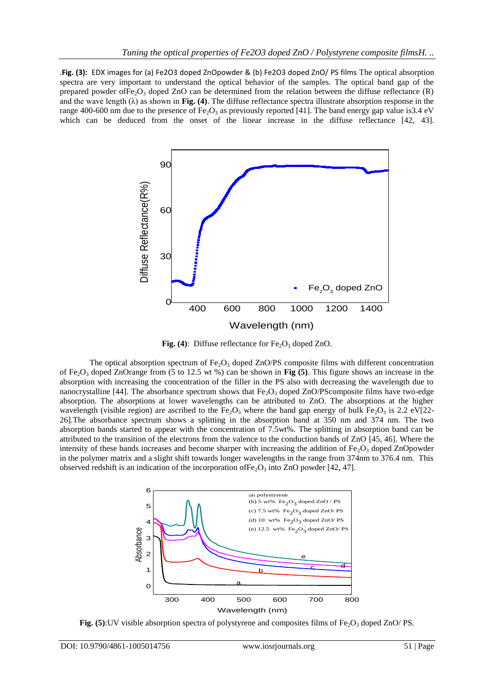.**Fig. (3):** EDX images for (a) Fe2O3 doped ZnOpowder & (b) Fe2O3 doped ZnO/ PS films The optical absorption spectra are very important to understand the optical behavior of the samples. The optical band gap of the prepared powder of Fe<sub>2</sub>O<sub>3</sub> doped ZnO can be determined from the relation between the diffuse reflectance  $(R)$ and the wave length  $(\lambda)$  as shown in **Fig. (4)**. The diffuse reflectance spectra illustrate absorption response in the range 400-600 nm due to the presence of  $Fe<sub>2</sub>O<sub>3</sub>$  as previously reported [41]. The band energy gap value is3.4 eV which can be deduced from the onset of the linear increase in the diffuse reflectance [42, 43].



Fig. (4): Diffuse reflectance for Fe<sub>2</sub>O<sub>3</sub> doped ZnO.

The optical absorption spectrum of  $Fe<sub>2</sub>O<sub>3</sub>$  doped ZnO/PS composite films with different concentration of Fe<sub>2</sub>O<sub>3</sub> doped ZnOrange from (5 to 12.5 wt %) can be shown in **Fig (5)**. This figure shows an increase in the absorption with increasing the concentration of the filler in the PS also with decreasing the wavelength due to nanocrystalline [44]. The absorbance spectrum shows that  $Fe<sub>2</sub>O<sub>3</sub>$  doped ZnO/PScomposite films have two-edge absorption. The absorptions at lower wavelengths can be attributed to ZnO. The absorptions at the higher wavelength (visible region) are ascribed to the Fe<sub>2</sub>O<sub>3</sub> where the band gap energy of bulk Fe<sub>2</sub>O<sub>3</sub> is 2.2 eV[22-26].The absorbance spectrum shows a splitting in the absorption band at 350 nm and 374 nm. The two absorption bands started to appear with the concentration of 7.5wt%. The splitting in absorption band can be attributed to the transition of the electrons from the valence to the conduction bands of ZnO [45, 46]. Where the intensity of these bands increases and become sharper with increasing the addition of  $Fe<sub>2</sub>O<sub>3</sub>$  doped ZnOpowder in the polymer matrix and a slight shift towards longer wavelengths in the range from 374nm to 376.4 nm. This observed redshift is an indication of the incorporation of  $Fe<sub>2</sub>O<sub>3</sub>$  into ZnO powder [42, 47].



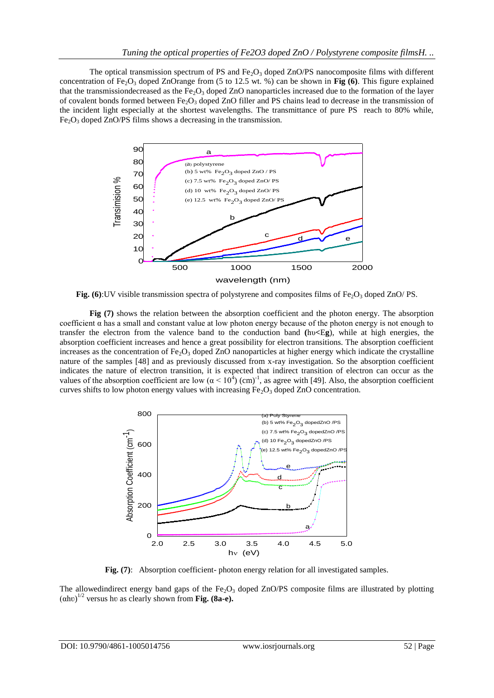The optical transmission spectrum of PS and  $Fe<sub>2</sub>O<sub>3</sub>$  doped ZnO/PS nanocomposite films with different concentration of Fe<sub>2</sub>O<sub>3</sub> doped ZnOrange from (5 to 12.5 wt. %) can be shown in **Fig (6)**. This figure explained that the transmission decreased as the Fe<sub>2</sub>O<sub>3</sub> doped ZnO nanoparticles increased due to the formation of the layer of covalent bonds formed between  $Fe<sub>2</sub>O<sub>3</sub>$  doped ZnO filler and PS chains lead to decrease in the transmission of the incident light especially at the shortest wavelengths. The transmittance of pure PS reach to 80% while,  $Fe<sub>2</sub>O<sub>3</sub>$  doped ZnO/PS films shows a decreasing in the transmission.



**Fig. (6):UV visible transmission spectra of polystyrene and composites films of Fe<sub>2</sub>O<sub>3</sub> doped ZnO/ PS.** 

**Fig (7)** shows the relation between the absorption coefficient and the photon energy. The absorption coefficient  $\alpha$  has a small and constant value at low photon energy because of the photon energy is not enough to transfer the electron from the valence band to the conduction band **(**hυ**<**E**g**), while at high energies, the absorption coefficient increases and hence a great possibility for electron transitions. The absorption coefficient increases as the concentration of  $Fe<sub>2</sub>O<sub>3</sub>$  doped ZnO nanoparticles at higher energy which indicate the crystalline nature of the samples [48] and as previously discussed from x-ray investigation. So the absorption coefficient indicates the nature of electron transition, it is expected that indirect transition of electron can occur as the values of the absorption coefficient are low  $(\alpha < 10^3)$  (cm)<sup>-1</sup>, as agree with [49]. Also, the absorption coefficient curves shifts to low photon energy values with increasing  $Fe<sub>2</sub>O<sub>3</sub>$  doped ZnO concentration.



**Fig.** (7): Absorption coefficient- photon energy relation for all investigated samples.

The allowedindirect energy band gaps of the  $Fe<sub>2</sub>O<sub>3</sub>$  doped ZnO/PS composite films are illustrated by plotting (αhʋ) 1/2 versus hʋ as clearly shown from **Fig. (8a-e).**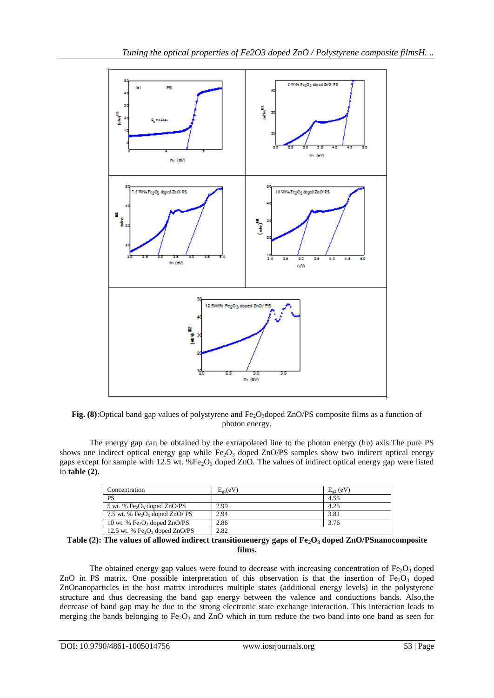

**Fig. (8):**Optical band gap values of polystyrene and  $Fe<sub>2</sub>O<sub>3</sub>$ doped ZnO/PS composite films as a function of photon energy.

The energy gap can be obtained by the extrapolated line to the photon energy (hv) axis. The pure PS shows one indirect optical energy gap while  $Fe<sub>2</sub>O<sub>3</sub>$  doped ZnO/PS samples show two indirect optical energy gaps except for sample with 12.5 wt. % $Fe<sub>2</sub>O<sub>3</sub>$  doped ZnO. The values of indirect optical energy gap were listed in **table (2).** 

| Concentration                                          | $E_{\sigma 1}(eV)$ | $E_{e2}$ (eV) |
|--------------------------------------------------------|--------------------|---------------|
| <b>PS</b>                                              |                    | 4.55          |
| 5 wt. % $Fe2O3$ doped ZnO/PS                           | 2.99               | 4.25          |
| 7.5 wt. % Fe <sub>2</sub> O <sub>3</sub> doped ZnO/ PS | 2.94               | 3.81          |
| 10 wt. % $Fe2O3$ doped ZnO/PS                          | 2.86               | 3.76          |
| 12.5 wt. % $Fe2O3$ doped ZnO/PS                        | 2.82               |               |

**Table (2): The values of allowed indirect transitionenergy gaps of Fe2O<sup>3</sup> doped ZnO/PSnanocomposite films.**

The obtained energy gap values were found to decrease with increasing concentration of  $Fe<sub>2</sub>O<sub>3</sub>$  doped ZnO in PS matrix. One possible interpretation of this observation is that the insertion of Fe<sub>2</sub>O<sub>3</sub> doped ZnOnanoparticles in the host matrix introduces multiple states (additional energy levels) in the polystyrene structure and thus decreasing the band gap energy between the valence and conductions bands. Also,the decrease of band gap may be due to the strong electronic state exchange interaction. This interaction leads to merging the bands belonging to  $Fe<sub>2</sub>O<sub>3</sub>$  and ZnO which in turn reduce the two band into one band as seen for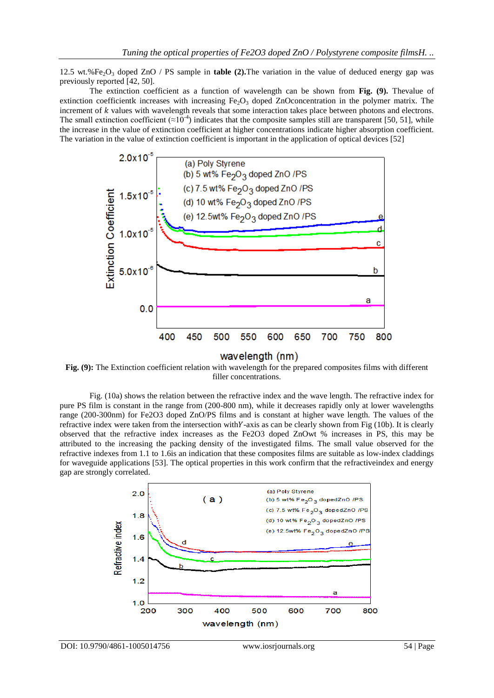12.5 wt.%Fe<sub>2</sub>O<sub>3</sub> doped ZnO / PS sample in **table (2).**The variation in the value of deduced energy gap was previously reported [42, 50].

The extinction coefficient as a function of wavelength can be shown from **Fig. (9).** Thevalue of extinction coefficientk increases with increasing  $Fe<sub>2</sub>O<sub>3</sub>$  doped ZnOconcentration in the polymer matrix. The increment of  $k$  values with wavelength reveals that some interaction takes place between photons and electrons. The small extinction coefficient ( $\approx 10^{-4}$ ) indicates that the composite samples still are transparent [50, 51], while the increase in the value of extinction coefficient at higher concentrations indicate higher absorption coefficient. The variation in the value of extinction coefficient is important in the application of optical devices [52]



wavelength (nm)

**Fig. (9):** The Extinction coefficient relation with wavelength for the prepared composites films with different filler concentrations.

Fig. (10a) shows the relation between the refractive index and the wave length. The refractive index for pure PS film is constant in the range from (200-800 nm), while it decreases rapidly only at lower wavelengths range (200-300nm) for Fe2O3 doped ZnO/PS films and is constant at higher wave length. The values of the refractive index were taken from the intersection with  $Y$ -axis as can be clearly shown from Fig (10b). It is clearly observed that the refractive index increases as the Fe2O3 doped ZnOwt % increases in PS, this may be attributed to the increasing the packing density of the investigated films. The small value observed for the refractive indexes from 1.1 to 1.6is an indication that these composites films are suitable as low-index claddings for waveguide applications [53]. The optical properties in this work confirm that the refractiveindex and energy gap are strongly correlated.

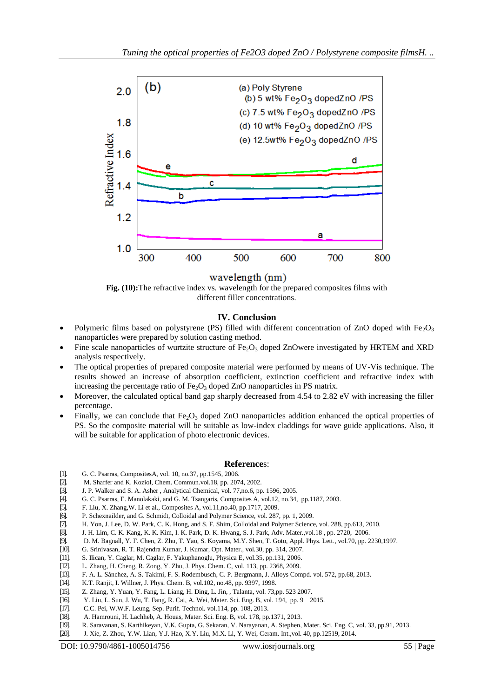

wavelength (nm)

**Fig. (10):**The refractive index vs. wavelength for the prepared composites films with different filler concentrations.

# **IV. Conclusion**

- Polymeric films based on polystyrene (PS) filled with different concentration of ZnO doped with  $Fe<sub>2</sub>O<sub>3</sub>$ nanoparticles were prepared by solution casting method.
- Fine scale nanoparticles of wurtzite structure of  $Fe<sub>2</sub>O<sub>3</sub>$  doped ZnOwere investigated by HRTEM and XRD analysis respectively.
- The optical properties of prepared composite material were performed by means of UV-Vis technique. The results showed an increase of absorption coefficient, extinction coefficient and refractive index with increasing the percentage ratio of  $Fe<sub>2</sub>O<sub>3</sub>$  doped ZnO nanoparticles in PS matrix.
- Moreover, the calculated optical band gap sharply decreased from 4.54 to 2.82 eV with increasing the filler percentage.
- Finally, we can conclude that  $Fe<sub>2</sub>O<sub>3</sub>$  doped ZnO nanoparticles addition enhanced the optical properties of PS. So the composite material will be suitable as low-index claddings for wave guide applications. Also, it will be suitable for application of photo electronic devices.

# **Reference**s:

- [1]. G. C. Psarras, CompositesA, vol. 10, no.37, pp.1545, 2006.
- [2]. M. Shaffer and K. Koziol, Chem. Commun.vol.18, pp. 2074, 2002.
- [3]. J. P. Walker and S. A. Asher , Analytical Chemical, vol. 77,no.6, pp. 1596, 2005.
- [4]. G. C. Psarras, E. Manolakaki, and G. M. Tsangaris, Composites A, vol.12, no.34, pp.1187, 2003.
- [5]. F. Liu, X. Zhang,W. Li et al., Composites A, vol.11,no.40, pp.1717, 2009.
- [6]. P. Schexnailder, and G. Schmidt, Colloidal and Polymer Science, vol. 287, pp. 1, 2009.
- [7]. H. Yon, J. Lee, D. W. Park, C. K. Hong, and S. F. Shim, Colloidal and Polymer Science, vol. 288, pp.613, 2010.
- [8]. J. H. Lim, C. K. Kang, K. K. Kim, I. K. Park, D. K. Hwang, S. J. Park, Adv. Mater.,vol.18 , pp. 2720, 2006.
- [9]. D. M. Bagnall, Y. F. Chen, Z. Zhu, T. Yao, S. Koyama, M.Y. Shen, T. Goto, Appl. Phys. Lett., vol.70, pp. 2230,1997.
- [10]. G. Srinivasan, R. T. Rajendra Kumar, J. Kumar, Opt. Mater., vol.30, pp. 314, 2007.
- [11]. S. Ilican, Y. Caglar, M. Caglar, F. Yakuphanoglu, Physica E, vol.35, pp.131, 2006.
- [12]. L. Zhang, H. Cheng, R. Zong, Y. Zhu, J. Phys. Chem. C, vol. 113, pp. 2368, 2009.
- [13]. F. A. L. Sánchez, A. S. Takimi, F. S. Rodembusch, C. P. Bergmann, J. Alloys Compd. vol. 572, pp.68, 2013.
- [14]. K.T. Ranjit, I. Willner, J. Phys. Chem. B, vol.102, no.48, pp. 9397, 1998.
- [15]. Z. Zhang, Y. Yuan, Y. Fang, L. Liang, H. Ding, L. Jin, , Talanta, vol. 73,pp. 523 2007.
- [16]. Y. Liu, L. Sun, J. Wu, T. Fang, R. Cai, A. Wei, Mater. Sci. Eng. B, vol. 194, pp. 9 2015.<br>[17]. C.C. Pei, W.W.F. Leung, Sep. Purif. Technol. vol. 114, pp. 108, 2013.
- [17]. C.C. Pei, W.W.F. Leung, Sep. Purif. Technol. vol.114, pp. 108, 2013.
- [18]. A. Hamrouni, H. Lachheb, A. Houas, Mater. Sci. Eng. B, vol. 178, pp.1371, 2013.
- [19]. R. Saravanan, S. Karthikeyan, V.K. Gupta, G. Sekaran, V. Narayanan, A. Stephen, Mater. Sci. Eng. C, vol. 33, pp.91, 2013.
- [20]. J. Xie, Z. Zhou, Y.W. Lian, Y.J. Hao, X.Y. Liu, M.X. Li, Y. Wei, Ceram. Int.,vol. 40, pp.12519, 2014.